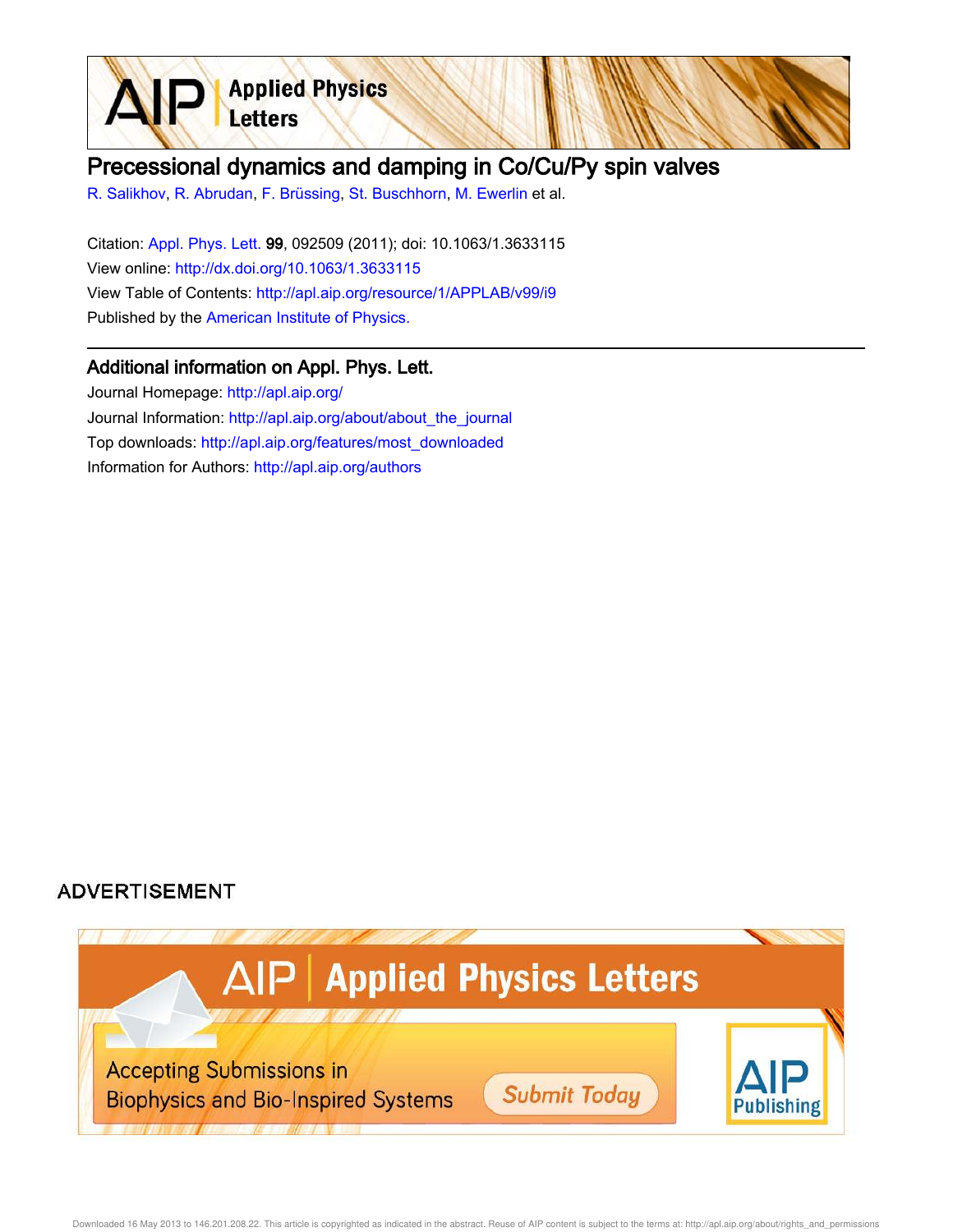

## Precessional dynamics and damping in Co/Cu/Py spin valves

R. Salikhov, R. Abrudan, F. Brüssing, St. Buschhorn, M. Ewerlin et al.

Citation: Appl. Phys. Lett. 99, 092509 (2011); doi: 10.1063/1.3633115 View online: http://dx.doi.org/10.1063/1.3633115 View Table of Contents: http://apl.aip.org/resource/1/APPLAB/v99/i9 Published by the American Institute of Physics.

## Additional information on Appl. Phys. Lett.

Journal Homepage: http://apl.aip.org/ Journal Information: http://apl.aip.org/about/about\_the\_journal Top downloads: http://apl.aip.org/features/most\_downloaded Information for Authors: http://apl.aip.org/authors

## **ADVERTISEMENT**

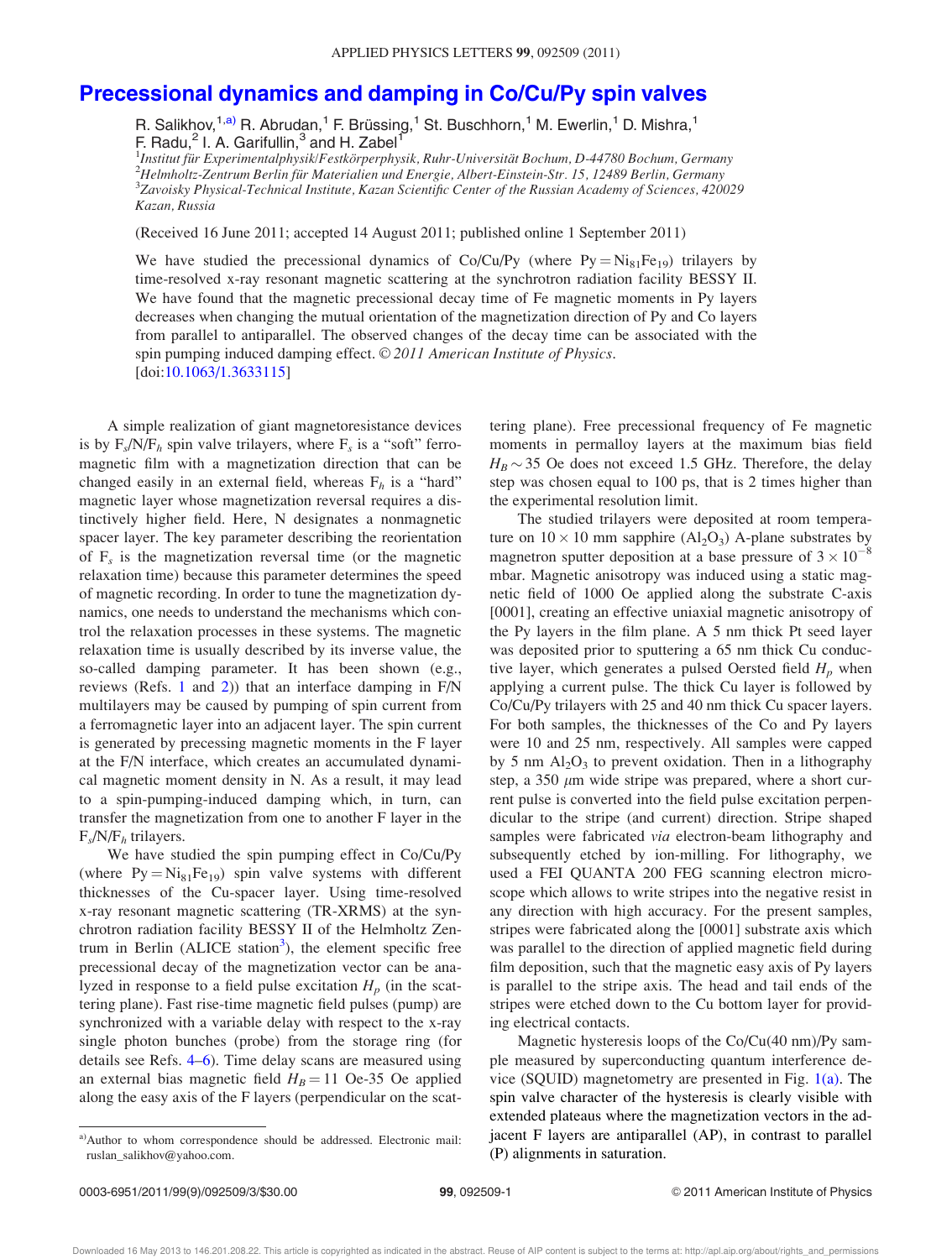## Precessional dynamics and damping in Co/Cu/Py spin valves

R. Salikhov,<sup>1,a)</sup> R. Abrudan,<sup>1</sup> F. Brüssing,<sup>1</sup> St. Buschhorn,<sup>1</sup> M. Ewerlin,<sup>1</sup> D. Mishra,<sup>1</sup> F. Radu,<sup>2</sup> I. A. Garifullin,<sup>3</sup> and H. Zabel<sup>1</sup>

 $^1$ Institut für Experimentalphysik/Festkörperphysik, Ruhr-Universität Bochum, D-44780 Bochum, Germany  $^{2}$ Helmholtz-Zentrum Berlin für Materialien und Energie, Albert-Einstein-Str. 15, 12489 Berlin, Germany  $^3$ Zavoisky Physical-Technical Institute, Kazan Scientific Center of the Russian Academy of Sciences, 420029 Kazan, Russia

(Received 16 June 2011; accepted 14 August 2011; published online 1 September 2011)

We have studied the precessional dynamics of Co/Cu/Py (where  $Py = Ni<sub>81</sub>Fe<sub>19</sub>$ ) trilayers by time-resolved x-ray resonant magnetic scattering at the synchrotron radiation facility BESSY II. We have found that the magnetic precessional decay time of Fe magnetic moments in Py layers decreases when changing the mutual orientation of the magnetization direction of Py and Co layers from parallel to antiparallel. The observed changes of the decay time can be associated with the spin pumping induced damping effect. © 2011 American Institute of Physics. [doi:10.1063/1.3633115]

A simple realization of giant magnetoresistance devices is by  $F_s/N/F_h$  spin valve trilayers, where  $F_s$  is a "soft" ferromagnetic film with a magnetization direction that can be changed easily in an external field, whereas  $F_h$  is a "hard" magnetic layer whose magnetization reversal requires a distinctively higher field. Here, N designates a nonmagnetic spacer layer. The key parameter describing the reorientation of  $F_s$  is the magnetization reversal time (or the magnetic relaxation time) because this parameter determines the speed of magnetic recording. In order to tune the magnetization dynamics, one needs to understand the mechanisms which control the relaxation processes in these systems. The magnetic relaxation time is usually described by its inverse value, the so-called damping parameter. It has been shown (e.g., reviews (Refs. 1 and 2)) that an interface damping in F/N multilayers may be caused by pumping of spin current from a ferromagnetic layer into an adjacent layer. The spin current is generated by precessing magnetic moments in the F layer at the F/N interface, which creates an accumulated dynamical magnetic moment density in N. As a result, it may lead to a spin-pumping-induced damping which, in turn, can transfer the magnetization from one to another F layer in the  $F_s/N/F_h$  trilayers.

We have studied the spin pumping effect in Co/Cu/Py (where  $Py = Ni_{81}Fe_{19}$ ) spin valve systems with different thicknesses of the Cu-spacer layer. Using time-resolved x-ray resonant magnetic scattering (TR-XRMS) at the synchrotron radiation facility BESSY II of the Helmholtz Zentrum in Berlin (ALICE station<sup>3</sup>), the element specific free precessional decay of the magnetization vector can be analyzed in response to a field pulse excitation  $H_p$  (in the scattering plane). Fast rise-time magnetic field pulses (pump) are synchronized with a variable delay with respect to the x-ray single photon bunches (probe) from the storage ring (for details see Refs. 4–6). Time delay scans are measured using an external bias magnetic field  $H_B = 11$  Oe-35 Oe applied along the easy axis of the F layers (perpendicular on the scattering plane). Free precessional frequency of Fe magnetic moments in permalloy layers at the maximum bias field  $H_B \sim 35$  Oe does not exceed 1.5 GHz. Therefore, the delay step was chosen equal to 100 ps, that is 2 times higher than the experimental resolution limit.

The studied trilayers were deposited at room temperature on  $10 \times 10$  mm sapphire  $(Al_2O_3)$  A-plane substrates by magnetron sputter deposition at a base pressure of  $3 \times 10^{-8}$ mbar. Magnetic anisotropy was induced using a static magnetic field of 1000 Oe applied along the substrate C-axis [0001], creating an effective uniaxial magnetic anisotropy of the Py layers in the film plane. A 5 nm thick Pt seed layer was deposited prior to sputtering a 65 nm thick Cu conductive layer, which generates a pulsed Oersted field  $H_p$  when applying a current pulse. The thick Cu layer is followed by Co/Cu/Py trilayers with 25 and 40 nm thick Cu spacer layers. For both samples, the thicknesses of the Co and Py layers were 10 and 25 nm, respectively. All samples were capped by 5 nm  $Al_2O_3$  to prevent oxidation. Then in a lithography step, a 350  $\mu$ m wide stripe was prepared, where a short current pulse is converted into the field pulse excitation perpendicular to the stripe (and current) direction. Stripe shaped samples were fabricated via electron-beam lithography and subsequently etched by ion-milling. For lithography, we used a FEI QUANTA 200 FEG scanning electron microscope which allows to write stripes into the negative resist in any direction with high accuracy. For the present samples, stripes were fabricated along the [0001] substrate axis which was parallel to the direction of applied magnetic field during film deposition, such that the magnetic easy axis of Py layers is parallel to the stripe axis. The head and tail ends of the stripes were etched down to the Cu bottom layer for providing electrical contacts.

Magnetic hysteresis loops of the Co/Cu(40 nm)/Py sample measured by superconducting quantum interference device (SQUID) magnetometry are presented in Fig.  $1(a)$ . The spin valve character of the hysteresis is clearly visible with extended plateaus where the magnetization vectors in the adjacent F layers are antiparallel (AP), in contrast to parallel (P) alignments in saturation.

a)Author to whom correspondence should be addressed. Electronic mail: ruslan\_salikhov@yahoo.com.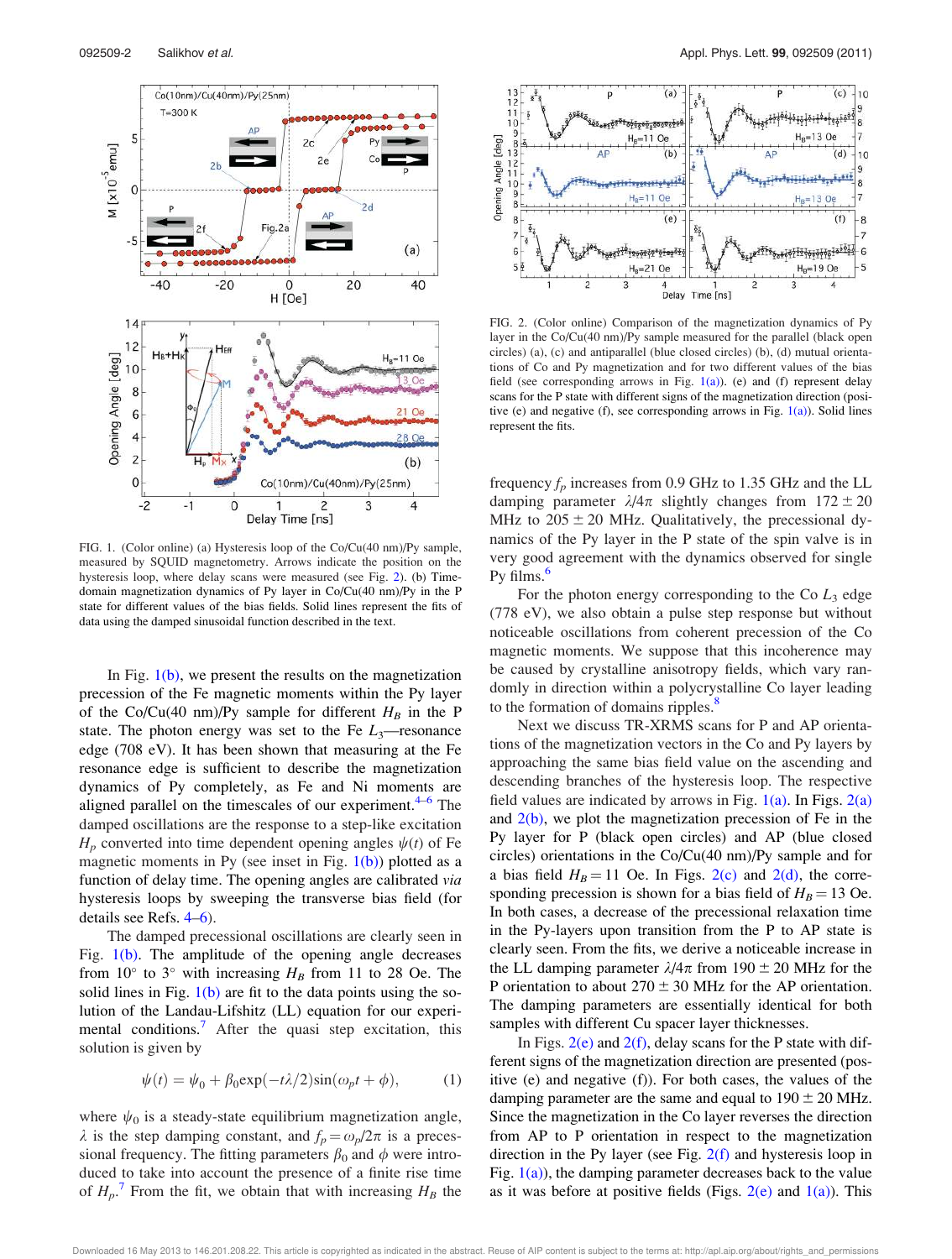

FIG. 1. (Color online) (a) Hysteresis loop of the Co/Cu(40 nm)/Py sample, measured by SQUID magnetometry. Arrows indicate the position on the hysteresis loop, where delay scans were measured (see Fig. 2). (b) Timedomain magnetization dynamics of Py layer in Co/Cu(40 nm)/Py in the P state for different values of the bias fields. Solid lines represent the fits of data using the damped sinusoidal function described in the text.

In Fig.  $1(b)$ , we present the results on the magnetization precession of the Fe magnetic moments within the Py layer of the Co/Cu(40 nm)/Py sample for different  $H_B$  in the P state. The photon energy was set to the Fe  $L_3$ —resonance edge (708 eV). It has been shown that measuring at the Fe resonance edge is sufficient to describe the magnetization dynamics of Py completely, as Fe and Ni moments are aligned parallel on the timescales of our experiment.<sup>4-6</sup> The damped oscillations are the response to a step-like excitation  $H_p$  converted into time dependent opening angles  $\psi(t)$  of Fe magnetic moments in Py (see inset in Fig.  $1(b)$ ) plotted as a function of delay time. The opening angles are calibrated via hysteresis loops by sweeping the transverse bias field (for details see Refs. 4–6).

The damped precessional oscillations are clearly seen in Fig. 1(b). The amplitude of the opening angle decreases from 10 $^{\circ}$  to 3 $^{\circ}$  with increasing  $H_B$  from 11 to 28 Oe. The solid lines in Fig.  $1(b)$  are fit to the data points using the solution of the Landau-Lifshitz (LL) equation for our experimental conditions.<sup>7</sup> After the quasi step excitation, this solution is given by

$$
\psi(t) = \psi_0 + \beta_0 \exp(-t\lambda/2) \sin(\omega_p t + \phi), \tag{1}
$$

where  $\psi_0$  is a steady-state equilibrium magnetization angle,  $\lambda$  is the step damping constant, and  $f_p = \omega_p/2\pi$  is a precessional frequency. The fitting parameters  $\beta_0$  and  $\phi$  were introduced to take into account the presence of a finite rise time of  $H_p$ .<sup>7</sup> From the fit, we obtain that with increasing  $H_B$  the



FIG. 2. (Color online) Comparison of the magnetization dynamics of Py layer in the Co/Cu(40 nm)/Py sample measured for the parallel (black open circles) (a), (c) and antiparallel (blue closed circles) (b), (d) mutual orientations of Co and Py magnetization and for two different values of the bias field (see corresponding arrows in Fig.  $1(a)$ ). (e) and (f) represent delay scans for the P state with different signs of the magnetization direction (positive (e) and negative (f), see corresponding arrows in Fig.  $1(a)$ ). Solid lines represent the fits.

frequency  $f_p$  increases from 0.9 GHz to 1.35 GHz and the LL damping parameter  $\lambda/4\pi$  slightly changes from  $172 \pm 20$ MHz to  $205 \pm 20$  MHz. Qualitatively, the precessional dynamics of the Py layer in the P state of the spin valve is in very good agreement with the dynamics observed for single Py films.<sup>6</sup>

For the photon energy corresponding to the Co  $L_3$  edge (778 eV), we also obtain a pulse step response but without noticeable oscillations from coherent precession of the Co magnetic moments. We suppose that this incoherence may be caused by crystalline anisotropy fields, which vary randomly in direction within a polycrystalline Co layer leading to the formation of domains ripples.<sup>8</sup>

Next we discuss TR-XRMS scans for P and AP orientations of the magnetization vectors in the Co and Py layers by approaching the same bias field value on the ascending and descending branches of the hysteresis loop. The respective field values are indicated by arrows in Fig.  $1(a)$ . In Figs.  $2(a)$ and  $2(b)$ , we plot the magnetization precession of Fe in the Py layer for P (black open circles) and AP (blue closed circles) orientations in the Co/Cu(40 nm)/Py sample and for a bias field  $H_B = 11$  Oe. In Figs. 2(c) and 2(d), the corresponding precession is shown for a bias field of  $H_B = 13$  Oe. In both cases, a decrease of the precessional relaxation time in the Py-layers upon transition from the P to AP state is clearly seen. From the fits, we derive a noticeable increase in the LL damping parameter  $\lambda/4\pi$  from 190  $\pm$  20 MHz for the P orientation to about  $270 \pm 30$  MHz for the AP orientation. The damping parameters are essentially identical for both samples with different Cu spacer layer thicknesses.

In Figs.  $2(e)$  and  $2(f)$ , delay scans for the P state with different signs of the magnetization direction are presented (positive (e) and negative (f)). For both cases, the values of the damping parameter are the same and equal to  $190 \pm 20$  MHz. Since the magnetization in the Co layer reverses the direction from AP to P orientation in respect to the magnetization direction in the Py layer (see Fig.  $2(f)$  and hysteresis loop in Fig.  $1(a)$ ), the damping parameter decreases back to the value as it was before at positive fields (Figs.  $2(e)$  and  $1(a)$ ). This